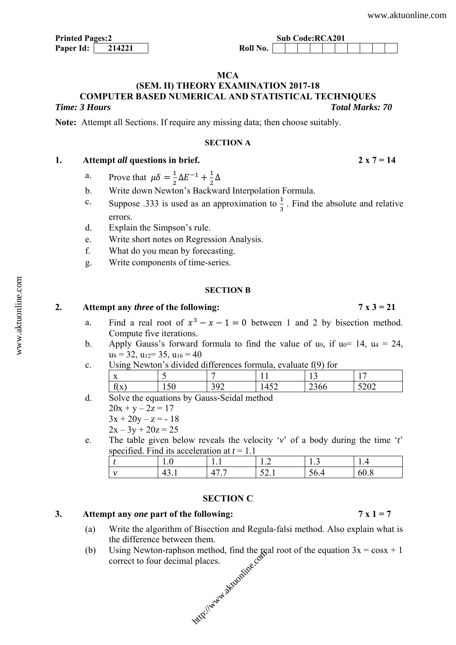| <b>Printed Pages:2</b> |        |  |  |  |
|------------------------|--------|--|--|--|
| Paper Id:              | 214221 |  |  |  |

#### **MCA**

## **(SEM. II) THEORY EXAMINATION 2017-18 COMPUTER BASED NUMERICAL AND STATISTICAL TECHNIQUES**  *Time: 3 Hours Total Marks: 70*

**Note:** Attempt all Sections. If require any missing data; then choose suitably.

#### **SECTION A**

#### **1. Attempt** *all* **questions in brief. 2 x 7 = 14**

- a. Prove that  $\mu \delta = \frac{1}{2} \Delta E^{-1} + \frac{1}{2} \Delta$
- b. Write down Newton's Backward Interpolation Formula.
- c. Suppose .333 is used as an approximation to  $\frac{1}{3}$ . Find the absolute and relative errors.
- d. Explain the Simpson's rule.
- e. Write short notes on Regression Analysis.
- f. What do you mean by forecasting.
- g. Write components of time-series.

#### **SECTION B**

## **2. Attempt any** *three* **of the following: 7 x 3 = 21**

## a. Find a real root of  $x^3 - x - 1 = 0$  between 1 and 2 by bisection method. Compute five iterations.

- b. Apply Gauss's forward formula to find the value of u9, if  $u_0$  = 14,  $u_4$  = 24,  $u_8 = 32$ ,  $u_{12} = 35$ ,  $u_{16} = 40$
- c. Using Newton's divided differences formula, evaluate f(9) for

| $- -$<br>$\lambda$              |     |     | $\sim$<br>⊥ັ | $\overline{\phantom{a}}$<br><b>.</b> |
|---------------------------------|-----|-----|--------------|--------------------------------------|
| $\sim$<br>$\mathbf{v}$<br>TI VE | ⊥ J | . . | 29 U V       | $\sim$<br>-04                        |

- d. Solve the equations by Gauss-Seidal method
	- $20x + y 2z = 17$  $3x + 20y - z = -18$ 
		- $2x 3y + 20z = 25$
- e. The table given below reveals the velocity '*v*' of a body during the time '*t*' specified. Find its acceleration at *t* = 1.1

|     | $\cdot\cdot$ | .                       | . . <u>.</u>       | 1.J  | . |
|-----|--------------|-------------------------|--------------------|------|---|
| . . | ٠.<br>.      | $\sqrt{2}$<br>$\bullet$ | $\sim$<br><u>.</u> | JV.H | ω |

## **SECTION C**

#### **3. Attempt any** *one* **part of the following: 7 x 1 = 7**

- (a) Write the algorithm of Bisection and Regula-falsi method. Also explain what is the difference between them.
- (b) Using Newton-raphson method, find the real root of the equation  $3x = cosx + 1$